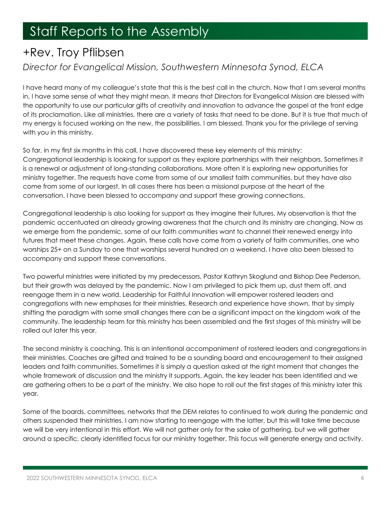## **Staff Reports to the Assembly**

## +Rev. Troy Pflibsen

## *Director for Evangelical Mission, Southwestern Minnesota Synod, ELCA*

I have heard many of my colleague's state that this is the best call in the church. Now that I am several months in, I have some sense of what they might mean. It means that Directors for Evangelical Mission are blessed with the opportunity to use our particular gifts of creativity and innovation to advance the gospel at the front edge of its proclamation. Like all ministries, there are a variety of tasks that need to be done. But it is true that much of my energy is focused working on the new, the possibilities. I am blessed. Thank you for the privilege of serving with you in this ministry.

So far, in my first six months in this call, I have discovered these key elements of this ministry: Congregational leadership is looking for support as they explore partnerships with their neighbors. Sometimes it is a renewal or adjustment of long-standing collaborations. More often it is exploring new opportunities for ministry together. The requests have come from some of our smallest faith communities, but they have also come from some of our largest. In all cases there has been a missional purpose at the heart of the conversation. I have been blessed to accompany and support these growing connections.

Congregational leadership is also looking for support as they imagine their futures. My observation is that the pandemic accentuated an already growing awareness that the church and its ministry are changing. Now as we emerge from the pandemic, some of our faith communities want to channel their renewed energy into futures that meet these changes. Again, these calls have come from a variety of faith communities, one who worships 25+ on a Sunday to one that worships several hundred on a weekend. I have also been blessed to accompany and support these conversations.

Two powerful ministries were initiated by my predecessors, Pastor Kathryn Skoglund and Bishop Dee Pederson, but their growth was delayed by the pandemic. Now I am privileged to pick them up, dust them off, and reengage them in a new world. Leadership for Faithful Innovation will empower rostered leaders and congregations with new emphases for their ministries. Research and experience have shown, that by simply shifting the paradigm with some small changes there can be a significant impact on the kingdom work of the community. The leadership team for this ministry has been assembled and the first stages of this ministry will be rolled out later this year.

The second ministry is coaching. This is an intentional accompaniment of rostered leaders and congregations in their ministries. Coaches are gifted and trained to be a sounding board and encouragement to their assigned leaders and faith communities. Sometimes it is simply a question asked at the right moment that changes the whole framework of discussion and the ministry it supports. Again, the key leader has been identified and we are gathering others to be a part of the ministry. We also hope to roll out the first stages of this ministry later this year.

Some of the boards, committees, networks that the DEM relates to continued to work during the pandemic and others suspended their ministries. I am now starting to reengage with the latter, but this will take time because we will be very intentional in this effort. We will not gather only for the sake of gathering, but we will gather around a specific, clearly identified focus for our ministry together. This focus will generate energy and activity.